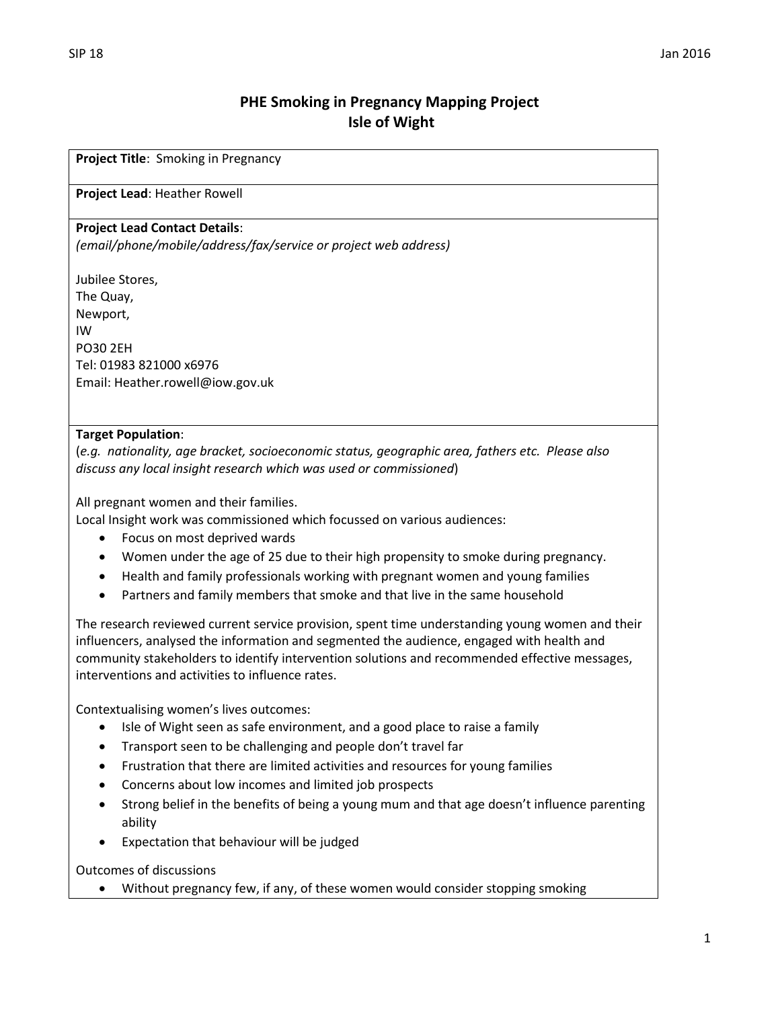# **PHE Smoking in Pregnancy Mapping Project Isle of Wight**

**Project Title**: Smoking in Pregnancy

#### **Project Lead**: Heather Rowell

#### **Project Lead Contact Details**:

*(email/phone/mobile/address/fax/service or project web address)*

Jubilee Stores, The Quay, Newport, IW PO30 2EH Tel: 01983 821000 x6976 Email: Heather.rowell@iow.gov.uk

#### **Target Population**:

(*e.g. nationality, age bracket, socioeconomic status, geographic area, fathers etc. Please also discuss any local insight research which was used or commissioned*)

All pregnant women and their families.

Local Insight work was commissioned which focussed on various audiences:

- Focus on most deprived wards
- Women under the age of 25 due to their high propensity to smoke during pregnancy.
- Health and family professionals working with pregnant women and young families
- Partners and family members that smoke and that live in the same household

The research reviewed current service provision, spent time understanding young women and their influencers, analysed the information and segmented the audience, engaged with health and community stakeholders to identify intervention solutions and recommended effective messages, interventions and activities to influence rates.

Contextualising women's lives outcomes:

- Isle of Wight seen as safe environment, and a good place to raise a family
- Transport seen to be challenging and people don't travel far
- Frustration that there are limited activities and resources for young families
- Concerns about low incomes and limited job prospects
- Strong belief in the benefits of being a young mum and that age doesn't influence parenting ability
- Expectation that behaviour will be judged

Outcomes of discussions

Without pregnancy few, if any, of these women would consider stopping smoking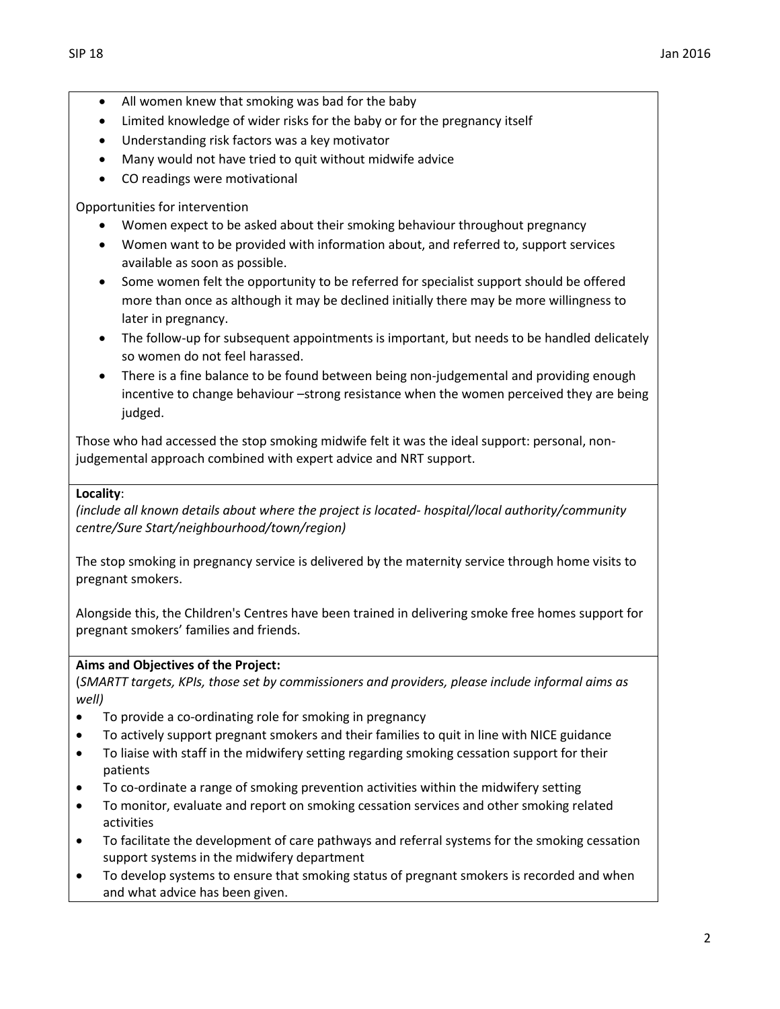- All women knew that smoking was bad for the baby
- Limited knowledge of wider risks for the baby or for the pregnancy itself
- Understanding risk factors was a key motivator
- Many would not have tried to quit without midwife advice
- CO readings were motivational

Opportunities for intervention

- Women expect to be asked about their smoking behaviour throughout pregnancy
- Women want to be provided with information about, and referred to, support services available as soon as possible.
- Some women felt the opportunity to be referred for specialist support should be offered more than once as although it may be declined initially there may be more willingness to later in pregnancy.
- The follow-up for subsequent appointments is important, but needs to be handled delicately so women do not feel harassed.
- There is a fine balance to be found between being non-judgemental and providing enough incentive to change behaviour –strong resistance when the women perceived they are being judged.

Those who had accessed the stop smoking midwife felt it was the ideal support: personal, nonjudgemental approach combined with expert advice and NRT support.

### **Locality**:

*(include all known details about where the project is located- hospital/local authority/community centre/Sure Start/neighbourhood/town/region)*

The stop smoking in pregnancy service is delivered by the maternity service through home visits to pregnant smokers.

Alongside this, the Children's Centres have been trained in delivering smoke free homes support for pregnant smokers' families and friends.

## **Aims and Objectives of the Project:**

(*SMARTT targets, KPIs, those set by commissioners and providers, please include informal aims as well)*

- To provide a co-ordinating role for smoking in pregnancy
- To actively support pregnant smokers and their families to quit in line with NICE guidance
- To liaise with staff in the midwifery setting regarding smoking cessation support for their patients
- To co-ordinate a range of smoking prevention activities within the midwifery setting
- To monitor, evaluate and report on smoking cessation services and other smoking related activities
- To facilitate the development of care pathways and referral systems for the smoking cessation support systems in the midwifery department
- To develop systems to ensure that smoking status of pregnant smokers is recorded and when and what advice has been given.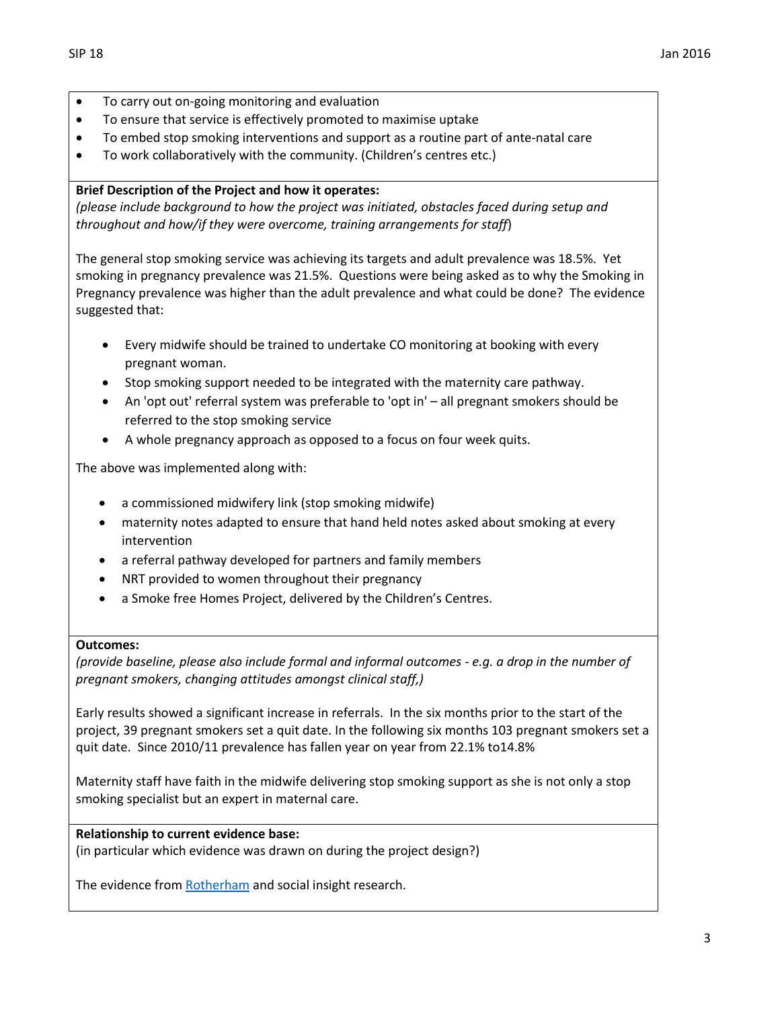- To carry out on-going monitoring and evaluation
- To ensure that service is effectively promoted to maximise uptake
- To embed stop smoking interventions and support as a routine part of ante-natal care
- To work collaboratively with the community. (Children's centres etc.)

### **Brief Description of the Project and how it operates:**

*(please include background to how the project was initiated, obstacles faced during setup and throughout and how/if they were overcome, training arrangements for staff*)

The general stop smoking service was achieving its targets and adult prevalence was 18.5%. Yet smoking in pregnancy prevalence was 21.5%. Questions were being asked as to why the Smoking in Pregnancy prevalence was higher than the adult prevalence and what could be done? The evidence suggested that:

- Every midwife should be trained to undertake CO monitoring at booking with every pregnant woman.
- Stop smoking support needed to be integrated with the maternity care pathway.
- An 'opt out' referral system was preferable to 'opt in' all pregnant smokers should be referred to the stop smoking service
- A whole pregnancy approach as opposed to a focus on four week quits.

The above was implemented along with:

- a commissioned midwifery link (stop smoking midwife)
- maternity notes adapted to ensure that hand held notes asked about smoking at every intervention
- a referral pathway developed for partners and family members
- NRT provided to women throughout their pregnancy
- a Smoke free Homes Project, delivered by the Children's Centres.

#### **Outcomes:**

*(provide baseline, please also include formal and informal outcomes - e.g. a drop in the number of pregnant smokers, changing attitudes amongst clinical staff,)*

Early results showed a significant increase in referrals. In the six months prior to the start of the project, 39 pregnant smokers set a quit date. In the following six months 103 pregnant smokers set a quit date. Since 2010/11 prevalence has fallen year on year from 22.1% to14.8%

Maternity staff have faith in the midwife delivering stop smoking support as she is not only a stop smoking specialist but an expert in maternal care.

### **Relationship to current evidence base:**

(in particular which evidence was drawn on during the project design?)

The evidence fro[m Rotherham](http://www.magonlinelibrary.com/doi/abs/10.12968/bjom.2012.20.4.236?journalCode=bjom) and social insight research.